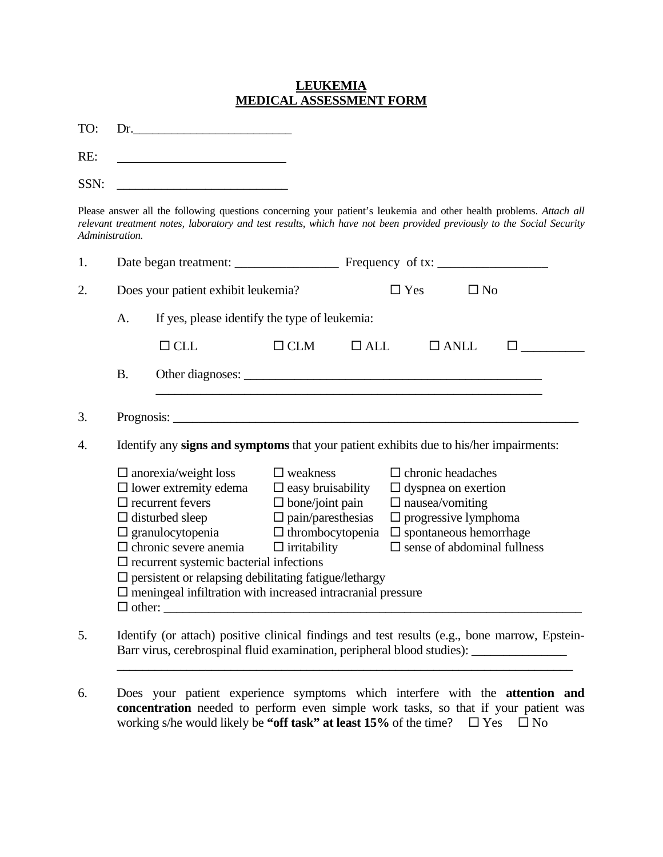## **LEUKEMIA MEDICAL ASSESSMENT FORM**

TO: Dr.

RE:

Please answer all the following questions concerning your patient's leukemia and other health problems. *Attach all relevant treatment notes, laboratory and test results, which have not been provided previously to the Social Security Administration.*

| 1.                                                                                           |                                                                                                                                                                                                                                                                                                                                                                                                                                                                                                                                              |                                               |                            |                                                                                                                                                                |             |  |  |
|----------------------------------------------------------------------------------------------|----------------------------------------------------------------------------------------------------------------------------------------------------------------------------------------------------------------------------------------------------------------------------------------------------------------------------------------------------------------------------------------------------------------------------------------------------------------------------------------------------------------------------------------------|-----------------------------------------------|----------------------------|----------------------------------------------------------------------------------------------------------------------------------------------------------------|-------------|--|--|
| 2.                                                                                           | Does your patient exhibit leukemia?                                                                                                                                                                                                                                                                                                                                                                                                                                                                                                          |                                               | $\Box$ Yes<br>$\square$ No |                                                                                                                                                                |             |  |  |
|                                                                                              | A.                                                                                                                                                                                                                                                                                                                                                                                                                                                                                                                                           | If yes, please identify the type of leukemia: |                            |                                                                                                                                                                |             |  |  |
|                                                                                              |                                                                                                                                                                                                                                                                                                                                                                                                                                                                                                                                              | $\Box$ CLL                                    | $\Box$ CLM                 | $\Box$ ALL                                                                                                                                                     | $\Box$ ANLL |  |  |
|                                                                                              | <b>B.</b>                                                                                                                                                                                                                                                                                                                                                                                                                                                                                                                                    |                                               |                            |                                                                                                                                                                |             |  |  |
| 3.                                                                                           |                                                                                                                                                                                                                                                                                                                                                                                                                                                                                                                                              |                                               |                            |                                                                                                                                                                |             |  |  |
| Identify any signs and symptoms that your patient exhibits due to his/her impairments:<br>4. |                                                                                                                                                                                                                                                                                                                                                                                                                                                                                                                                              |                                               |                            |                                                                                                                                                                |             |  |  |
|                                                                                              | $\Box$ anorexia/weight loss $\Box$ weakness<br>$\Box$ lower extremity edema $\Box$ easy bruisability $\Box$ dyspnea on exertion<br>$\Box$ recurrent fevers $\Box$ bone/joint pain<br>$\Box$ disturbed sleep $\Box$ pain/paresthesias<br>$\Box$ granulocytopenia $\Box$ thrombocytopenia<br>$\Box$ chronic severe anemia $\Box$ irritability<br>$\square$ recurrent systemic bacterial infections<br>$\square$ persistent or relapsing debilitating fatigue/lethargy<br>$\square$ meningeal infiltration with increased intracranial pressure |                                               |                            | $\Box$ chronic headaches<br>$\Box$ nausea/vomiting<br>$\Box$ progressive lymphoma<br>$\square$ spontaneous hemorrhage<br>$\square$ sense of abdominal fullness |             |  |  |

5. Identify (or attach) positive clinical findings and test results (e.g., bone marrow, Epstein-Barr virus, cerebrospinal fluid examination, peripheral blood studies): \_\_\_\_\_\_\_\_\_\_\_\_\_\_\_

 $\frac{1}{2}$  ,  $\frac{1}{2}$  ,  $\frac{1}{2}$  ,  $\frac{1}{2}$  ,  $\frac{1}{2}$  ,  $\frac{1}{2}$  ,  $\frac{1}{2}$  ,  $\frac{1}{2}$  ,  $\frac{1}{2}$  ,  $\frac{1}{2}$  ,  $\frac{1}{2}$  ,  $\frac{1}{2}$  ,  $\frac{1}{2}$  ,  $\frac{1}{2}$  ,  $\frac{1}{2}$  ,  $\frac{1}{2}$  ,  $\frac{1}{2}$  ,  $\frac{1}{2}$  ,  $\frac{1$ 

6. Does your patient experience symptoms which interfere with the **attention and concentration** needed to perform even simple work tasks, so that if your patient was working s/he would likely be "off task" at least 15% of the time?  $\Box$  Yes  $\Box$  No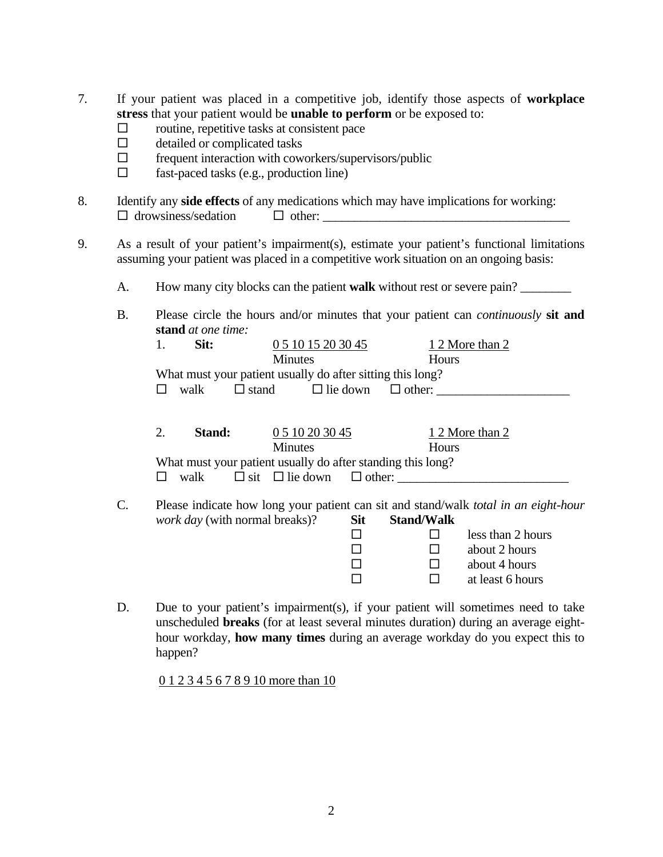- 7. If your patient was placed in a competitive job, identify those aspects of **workplace stress** that your patient would be **unable to perform** or be exposed to:
	- $\Box$  routine, repetitive tasks at consistent pace
	- $\Box$  detailed or complicated tasks<br> $\Box$  frequent interaction with cow
	- frequent interaction with coworkers/supervisors/public
	- $\Box$  fast-paced tasks (e.g., production line)
- 8. Identify any **side effects** of any medications which may have implications for working:  $\Box$  drowsiness/sedation  $\Box$  other:
- 9. As a result of your patient's impairment(s), estimate your patient's functional limitations assuming your patient was placed in a competitive work situation on an ongoing basis:
	- A. How many city blocks can the patient **walk** without rest or severe pain? \_\_\_\_\_\_\_\_
	- B. Please circle the hours and/or minutes that your patient can *continuously* **sit and stand** *at one time:*

|  | Sit: | 0 5 10 15 20 30 45 |                                                            | 1 2 More than 2 |
|--|------|--------------------|------------------------------------------------------------|-----------------|
|  |      | <b>Minutes</b>     |                                                            | <b>Hours</b>    |
|  |      |                    | What must your patient usually do after sitting this long? |                 |
|  | walk | $\Box$ stand       | $\Box$ lie down $\Box$ other:                              |                 |

| Stand: | 0 5 10 20 30 45                                             | 1 2 More than 2 |
|--------|-------------------------------------------------------------|-----------------|
|        | <b>Minutes</b>                                              | <b>Hours</b>    |
|        | What must your patient usually do after standing this long? |                 |
| walk   | $\Box$ sit $\Box$ lie down $\Box$ other:                    |                 |

C. Please indicate how long your patient can sit and stand/walk *total in an eight-hour work day* (with normal breaks)? Sit Stand/Walk

| $\ldots$ | ~~ |                   |
|----------|----|-------------------|
|          |    | less than 2 hours |
|          |    | about 2 hours     |
|          |    | about 4 hours     |
|          |    | at least 6 hours  |

D. Due to your patient's impairment(s), if your patient will sometimes need to take unscheduled **breaks** (for at least several minutes duration) during an average eighthour workday, **how many times** during an average workday do you expect this to happen?

0 1 2 3 4 5 6 7 8 9 10 more than 10